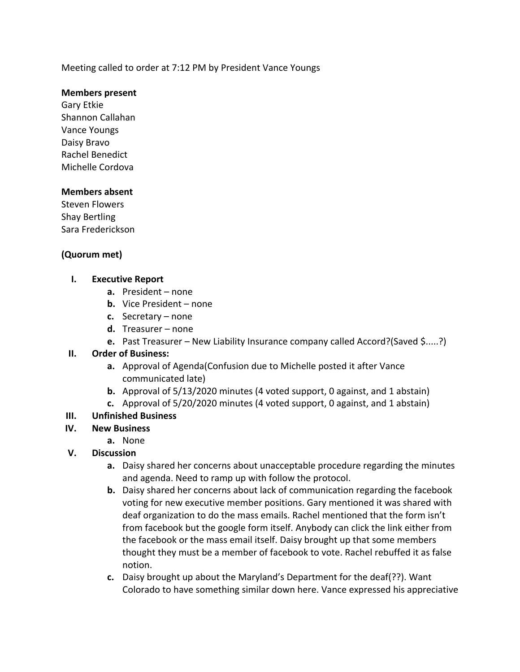Meeting called to order at 7:12 PM by President Vance Youngs

#### **Members present**

Gary Etkie Shannon Callahan Vance Youngs Daisy Bravo Rachel Benedict Michelle Cordova

#### **Members absent**

Steven Flowers Shay Bertling Sara Frederickson

## **(Quorum met)**

### **I. Executive Report**

- **a.** President none
- **b.** Vice President none
- **c.** Secretary none
- **d.** Treasurer none
- **e.** Past Treasurer New Liability Insurance company called Accord?(Saved \$.....?)

### **II. Order of Business:**

- **a.** Approval of Agenda(Confusion due to Michelle posted it after Vance communicated late)
- **b.** Approval of 5/13/2020 minutes (4 voted support, 0 against, and 1 abstain)
- **c.** Approval of 5/20/2020 minutes (4 voted support, 0 against, and 1 abstain)

### **III. Unfinished Business**

- **IV. New Business**
	- **a.** None
- **V. Discussion**
	- **a.** Daisy shared her concerns about unacceptable procedure regarding the minutes and agenda. Need to ramp up with follow the protocol.
	- **b.** Daisy shared her concerns about lack of communication regarding the facebook voting for new executive member positions. Gary mentioned it was shared with deaf organization to do the mass emails. Rachel mentioned that the form isn't from facebook but the google form itself. Anybody can click the link either from the facebook or the mass email itself. Daisy brought up that some members thought they must be a member of facebook to vote. Rachel rebuffed it as false notion.
	- **c.** Daisy brought up about the Maryland's Department for the deaf(??). Want Colorado to have something similar down here. Vance expressed his appreciative